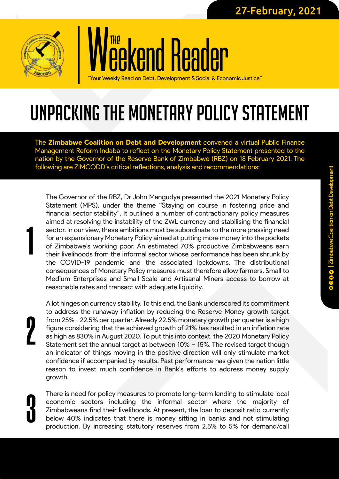

## *<u>kend Reader</u>* THE

Read on Debt, Development & Social & Economic Justice"

## UNPACKING THE MONETARY POLICY STATEMENT

The Zimbabwe Coalition on Debt and Development *c*onvened a virtual Public Finance Management Reform Indaba to reflect on the Monetary Policy Statement presented to the nation by the Governor of the Reserve Bank of Zimbabwe (RBZ) on 18 February 2021. The following are ZIMCODD's critical reflections, analysis and recommendations:

The Governor of the RBZ, Dr John Mangudya presented the 2021 Monetary Policy Statement (MPS), under the theme "Staying on course in fostering price and financial sector stability". It outlined a number of contractionary policy measures aimed at resolving the instability of the ZWL currency and stabilising the financial sector. In our view, these ambitions must be subordinate to the more pressing need for an expansionary Monetary Policy aimed at putting more money into the pockets of Zimbabwe's working poor. An estimated 70% productive Zimbabweans earn their livelihoods from the informal sector whose performance has been shrunk by the COVID-19 pandemic and the associated lockdowns. The distributional consequences of Monetary Policy measures must therefore allow farmers, Small to Medium Enterprises and Small Scale and Artisanal Miners access to borrow at reasonable rates and transact with adequate liquidity.

*2*

*1*

A lot hinges on currency stability. To this end, the Bank underscored its commitment to address the runaway inflation by reducing the Reserve Money growth target from 25% - 22.5% per quarter. Already 22.5% monetary growth per quarter is a high figure considering that the achieved growth of 21% has resulted in an inflation rate as high as 830% in August 2020. To put this into context, the 2020 Monetary Policy Statement set the annual target at between 10% – 15%. The revised target though an indicator of things moving in the positive direction will only stimulate market confidence if accompanied by results. Past performance has given the nation little reason to invest much confidence in Bank's efforts to address money supply growth.

There is need for policy measures to promote long-term lending to stimulate local economic sectors including the informal sector where the majority of Zimbabweans find their livelihoods. At present, the loan to deposit ratio currently below 40% indicates that there is money sitting in banks and not stimulating production. By increasing statutory reserves from 2.5% to 5% for demand/call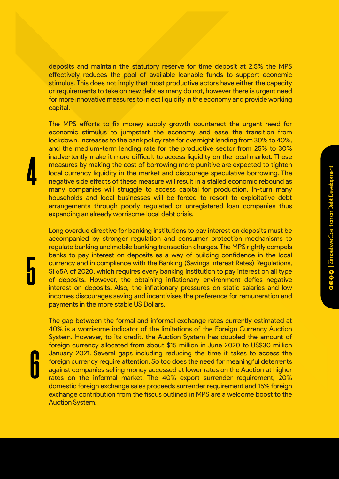deposits and maintain the statutory reserve for time deposit at 2.5% the MPS effectively reduces the pool of available loanable funds to support economic stimulus. This does not imply that most productive actors have either the capacity or requirements to take on new debt as many do not, however there is urgent need for more innovative measures to inject liquidity in the economy and provide working capital.

The MPS efforts to fix money supply growth counteract the urgent need for economic stimulus to jumpstart the economy and ease the transition from lockdown. Increases to the bank policy rate for overnight lending from 30% to 40%, and the medium-term lending rate for the productive sector from 25% to 30% inadvertently make it more difficult to access liquidity on the local market. These measures by making the cost of borrowing more punitive are expected to tighten local currency liquidity in the market and discourage speculative borrowing. The negative side effects of these measure will result in a stalled economic rebound as many companies will struggle to access capital for production. In-turn many households and local businesses will be forced to resort to exploitative debt arrangements through poorly regulated or unregistered loan companies thus expanding an already worrisome local debt crisis.

Long overdue directive for banking institutions to pay interest on deposits must be accompanied by stronger regulation and consumer protection mechanisms to regulate banking and mobile banking transaction charges. The MPS rightly compels banks to pay interest on deposits as a way of building confidence in the local currency and in compliance with the Banking (Savings Interest Rates) Regulations, SI 65A of 2020, which requires every banking institution to pay interest on all type of deposits. However, the obtaining inflationary environment defies negative interest on deposits. Also, the inflationary pressures on static salaries and low incomes discourages saving and incentivises the preference for remuneration and payments in the more stable US Dollars.

*6*

*4*

*5*

The gap between the formal and informal exchange rates currently estimated at 40% is a worrisome indicator of the limitations of the Foreign Currency Auction System. However, to its credit, the Auction System has doubled the amount of foreign currency allocated from about \$15 million in June 2020 to US\$30 million January 2021. Several gaps including reducing the time it takes to access the foreign currency require attention. So too does the need for meaningful deterrents against companies selling money accessed at lower rates on the Auction at higher rates on the informal market. The 40% export surrender requirement, 20% domestic foreign exchange sales proceeds surrender requirement and 15% foreign exchange contribution from the fiscus outlined in MPS are a welcome boost to the Auction System.